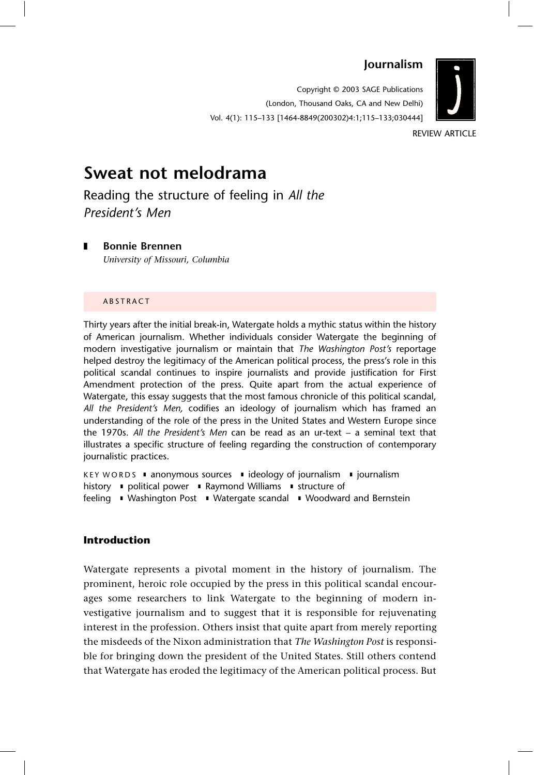# **Journalism**

Copyright © 2003 SAGE Publications (London, Thousand Oaks, CA and New Delhi) Vol. 4(1): 115–133 [1464-8849(200302)4:1;115–133;030444]



REVIEW ARTICLE

# **Sweat not melodrama**

Reading the structure of feeling in *All the President's Men*

# <sup>j</sup> **Bonnie Brennen**

*University of Missouri, Columbia*

#### ABSTRACT

Thirty years after the initial break-in, Watergate holds a mythic status within the history of American journalism. Whether individuals consider Watergate the beginning of modern investigative journalism or maintain that *The Washington Post's* reportage helped destroy the legitimacy of the American political process, the press's role in this political scandal continues to inspire journalists and provide justification for First Amendment protection of the press. Quite apart from the actual experience of Watergate, this essay suggests that the most famous chronicle of this political scandal, *All the President's Men,* codifies an ideology of journalism which has framed an understanding of the role of the press in the United States and Western Europe since the 1970s. *All the President's Men* can be read as an ur-text – a seminal text that illustrates a specific structure of feeling regarding the construction of contemporary journalistic practices.

KEY WORDS **a** anonymous sources **i** ideology of journalism **i** journalism history **I** political power **I** Raymond Williams **I** structure of feeling • Washington Post • Watergate scandal • Woodward and Bernstein

## **Introduction**

Watergate represents a pivotal moment in the history of journalism. The prominent, heroic role occupied by the press in this political scandal encourages some researchers to link Watergate to the beginning of modern investigative journalism and to suggest that it is responsible for rejuvenating interest in the profession. Others insist that quite apart from merely reporting the misdeeds of the Nixon administration that *The Washington Post* is responsible for bringing down the president of the United States. Still others contend that Watergate has eroded the legitimacy of the American political process. But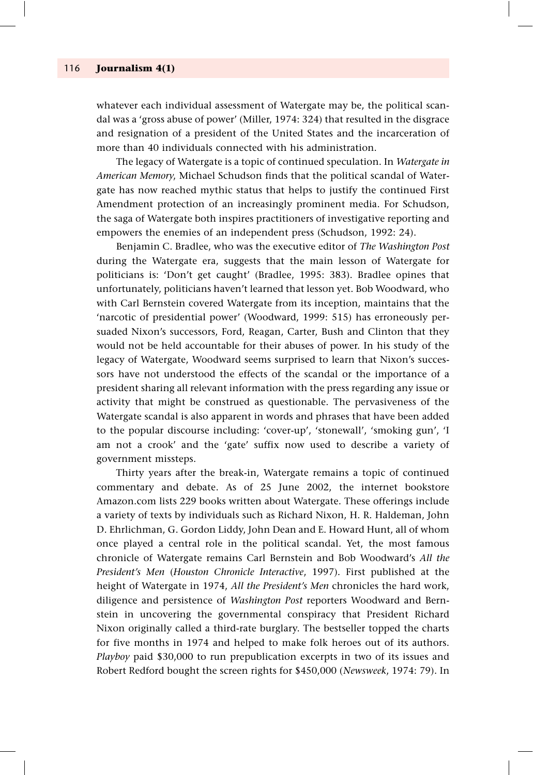whatever each individual assessment of Watergate may be, the political scandal was a 'gross abuse of power' (Miller, 1974: 324) that resulted in the disgrace and resignation of a president of the United States and the incarceration of more than 40 individuals connected with his administration.

The legacy of Watergate is a topic of continued speculation. In *Watergate in American Memory*, Michael Schudson finds that the political scandal of Watergate has now reached mythic status that helps to justify the continued First Amendment protection of an increasingly prominent media. For Schudson, the saga of Watergate both inspires practitioners of investigative reporting and empowers the enemies of an independent press (Schudson, 1992: 24).

Benjamin C. Bradlee, who was the executive editor of *The Washington Post* during the Watergate era, suggests that the main lesson of Watergate for politicians is: 'Don't get caught' (Bradlee, 1995: 383). Bradlee opines that unfortunately, politicians haven't learned that lesson yet. Bob Woodward, who with Carl Bernstein covered Watergate from its inception, maintains that the 'narcotic of presidential power' (Woodward, 1999: 515) has erroneously persuaded Nixon's successors, Ford, Reagan, Carter, Bush and Clinton that they would not be held accountable for their abuses of power. In his study of the legacy of Watergate, Woodward seems surprised to learn that Nixon's successors have not understood the effects of the scandal or the importance of a president sharing all relevant information with the press regarding any issue or activity that might be construed as questionable. The pervasiveness of the Watergate scandal is also apparent in words and phrases that have been added to the popular discourse including: 'cover-up', 'stonewall', 'smoking gun', 'I am not a crook' and the 'gate' suffix now used to describe a variety of government missteps.

Thirty years after the break-in, Watergate remains a topic of continued commentary and debate. As of 25 June 2002, the internet bookstore Amazon.com lists 229 books written about Watergate. These offerings include a variety of texts by individuals such as Richard Nixon, H. R. Haldeman, John D. Ehrlichman, G. Gordon Liddy, John Dean and E. Howard Hunt, all of whom once played a central role in the political scandal. Yet, the most famous chronicle of Watergate remains Carl Bernstein and Bob Woodward's *All the President's Men* (*Houston Chronicle Interactive*, 1997)*.* First published at the height of Watergate in 1974, *All the President's Men* chronicles the hard work, diligence and persistence of *Washington Post* reporters Woodward and Bernstein in uncovering the governmental conspiracy that President Richard Nixon originally called a third-rate burglary. The bestseller topped the charts for five months in 1974 and helped to make folk heroes out of its authors. *Playboy* paid \$30,000 to run prepublication excerpts in two of its issues and Robert Redford bought the screen rights for \$450,000 (*Newsweek*, 1974: 79). In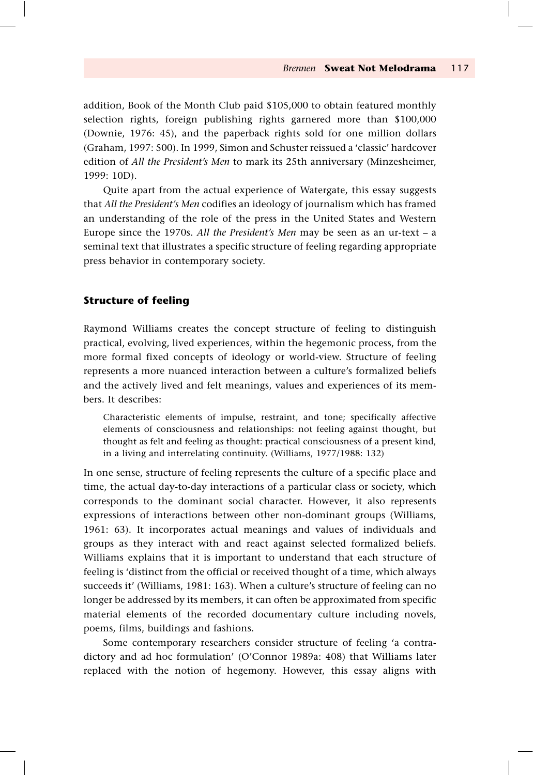addition, Book of the Month Club paid \$105,000 to obtain featured monthly selection rights, foreign publishing rights garnered more than \$100,000 (Downie, 1976: 45), and the paperback rights sold for one million dollars (Graham, 1997: 500). In 1999, Simon and Schuster reissued a 'classic' hardcover edition of *All the President's Men* to mark its 25th anniversary (Minzesheimer, 1999: 10D).

Quite apart from the actual experience of Watergate, this essay suggests that *All the President's Men* codifies an ideology of journalism which has framed an understanding of the role of the press in the United States and Western Europe since the 1970s. *All the President's Men* may be seen as an ur-text – a seminal text that illustrates a specific structure of feeling regarding appropriate press behavior in contemporary society.

# **Structure of feeling**

Raymond Williams creates the concept structure of feeling to distinguish practical, evolving, lived experiences, within the hegemonic process, from the more formal fixed concepts of ideology or world-view. Structure of feeling represents a more nuanced interaction between a culture's formalized beliefs and the actively lived and felt meanings, values and experiences of its members. It describes:

Characteristic elements of impulse, restraint, and tone; specifically affective elements of consciousness and relationships: not feeling against thought, but thought as felt and feeling as thought: practical consciousness of a present kind, in a living and interrelating continuity. (Williams, 1977/1988: 132)

In one sense, structure of feeling represents the culture of a specific place and time, the actual day-to-day interactions of a particular class or society, which corresponds to the dominant social character. However, it also represents expressions of interactions between other non-dominant groups (Williams, 1961: 63). It incorporates actual meanings and values of individuals and groups as they interact with and react against selected formalized beliefs. Williams explains that it is important to understand that each structure of feeling is 'distinct from the official or received thought of a time, which always succeeds it' (Williams, 1981: 163). When a culture's structure of feeling can no longer be addressed by its members, it can often be approximated from specific material elements of the recorded documentary culture including novels, poems, films, buildings and fashions.

Some contemporary researchers consider structure of feeling 'a contradictory and ad hoc formulation' (O'Connor 1989a: 408) that Williams later replaced with the notion of hegemony. However, this essay aligns with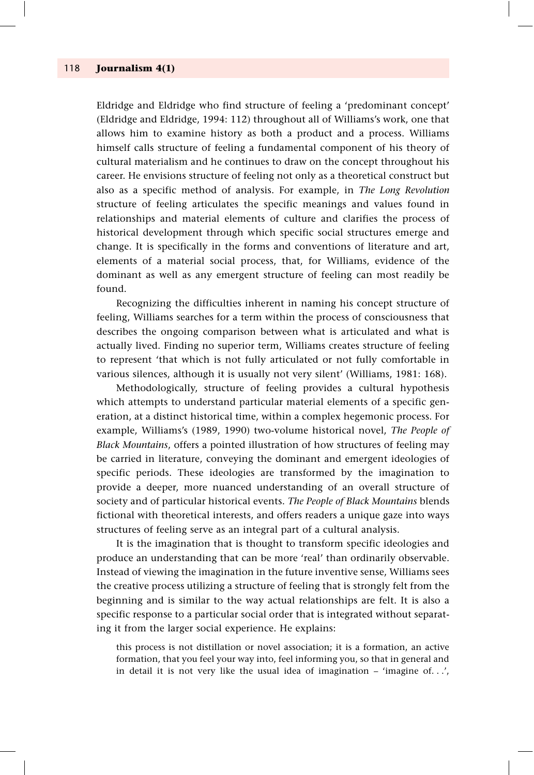Eldridge and Eldridge who find structure of feeling a 'predominant concept' (Eldridge and Eldridge, 1994: 112) throughout all of Williams's work, one that allows him to examine history as both a product and a process. Williams himself calls structure of feeling a fundamental component of his theory of cultural materialism and he continues to draw on the concept throughout his career. He envisions structure of feeling not only as a theoretical construct but also as a specific method of analysis. For example, in *The Long Revolution* structure of feeling articulates the specific meanings and values found in relationships and material elements of culture and clarifies the process of historical development through which specific social structures emerge and change. It is specifically in the forms and conventions of literature and art, elements of a material social process, that, for Williams, evidence of the dominant as well as any emergent structure of feeling can most readily be found.

Recognizing the difficulties inherent in naming his concept structure of feeling, Williams searches for a term within the process of consciousness that describes the ongoing comparison between what is articulated and what is actually lived. Finding no superior term, Williams creates structure of feeling to represent 'that which is not fully articulated or not fully comfortable in various silences, although it is usually not very silent' (Williams, 1981: 168).

Methodologically, structure of feeling provides a cultural hypothesis which attempts to understand particular material elements of a specific generation, at a distinct historical time, within a complex hegemonic process. For example, Williams's (1989, 1990) two-volume historical novel, *The People of Black Mountains*, offers a pointed illustration of how structures of feeling may be carried in literature, conveying the dominant and emergent ideologies of specific periods. These ideologies are transformed by the imagination to provide a deeper, more nuanced understanding of an overall structure of society and of particular historical events. *The People of Black Mountains* blends fictional with theoretical interests, and offers readers a unique gaze into ways structures of feeling serve as an integral part of a cultural analysis.

It is the imagination that is thought to transform specific ideologies and produce an understanding that can be more 'real' than ordinarily observable. Instead of viewing the imagination in the future inventive sense, Williams sees the creative process utilizing a structure of feeling that is strongly felt from the beginning and is similar to the way actual relationships are felt. It is also a specific response to a particular social order that is integrated without separating it from the larger social experience. He explains:

this process is not distillation or novel association; it is a formation, an active formation, that you feel your way into, feel informing you, so that in general and in detail it is not very like the usual idea of imagination – 'imagine of. . .',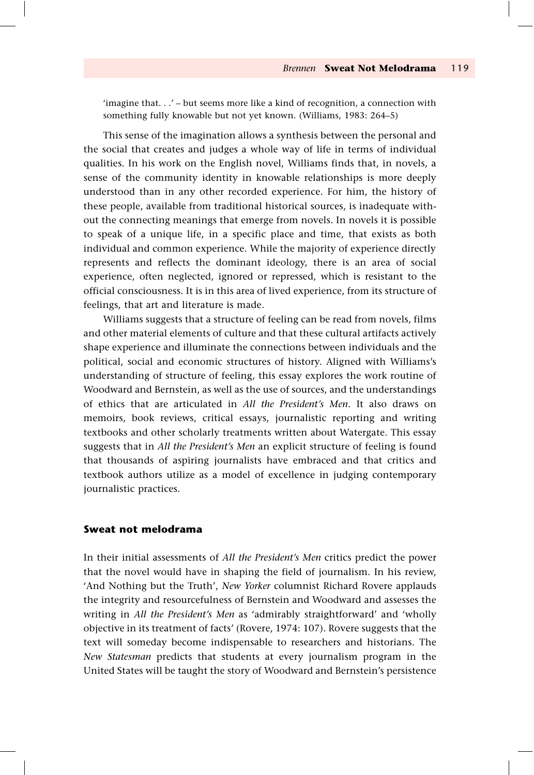'imagine that. . .' – but seems more like a kind of recognition, a connection with something fully knowable but not yet known. (Williams, 1983: 264–5)

This sense of the imagination allows a synthesis between the personal and the social that creates and judges a whole way of life in terms of individual qualities. In his work on the English novel, Williams finds that, in novels, a sense of the community identity in knowable relationships is more deeply understood than in any other recorded experience. For him, the history of these people, available from traditional historical sources, is inadequate without the connecting meanings that emerge from novels. In novels it is possible to speak of a unique life, in a specific place and time, that exists as both individual and common experience. While the majority of experience directly represents and reflects the dominant ideology, there is an area of social experience, often neglected, ignored or repressed, which is resistant to the official consciousness. It is in this area of lived experience, from its structure of feelings, that art and literature is made.

Williams suggests that a structure of feeling can be read from novels, films and other material elements of culture and that these cultural artifacts actively shape experience and illuminate the connections between individuals and the political, social and economic structures of history. Aligned with Williams's understanding of structure of feeling, this essay explores the work routine of Woodward and Bernstein, as well as the use of sources, and the understandings of ethics that are articulated in *All the President's Men.* It also draws on memoirs, book reviews, critical essays, journalistic reporting and writing textbooks and other scholarly treatments written about Watergate. This essay suggests that in *All the President's Men* an explicit structure of feeling is found that thousands of aspiring journalists have embraced and that critics and textbook authors utilize as a model of excellence in judging contemporary journalistic practices.

## **Sweat not melodrama**

In their initial assessments of *All the President's Men* critics predict the power that the novel would have in shaping the field of journalism. In his review, 'And Nothing but the Truth', *New Yorker* columnist Richard Rovere applauds the integrity and resourcefulness of Bernstein and Woodward and assesses the writing in *All the President's Men* as 'admirably straightforward' and 'wholly objective in its treatment of facts' (Rovere, 1974: 107). Rovere suggests that the text will someday become indispensable to researchers and historians. The *New Statesman* predicts that students at every journalism program in the United States will be taught the story of Woodward and Bernstein's persistence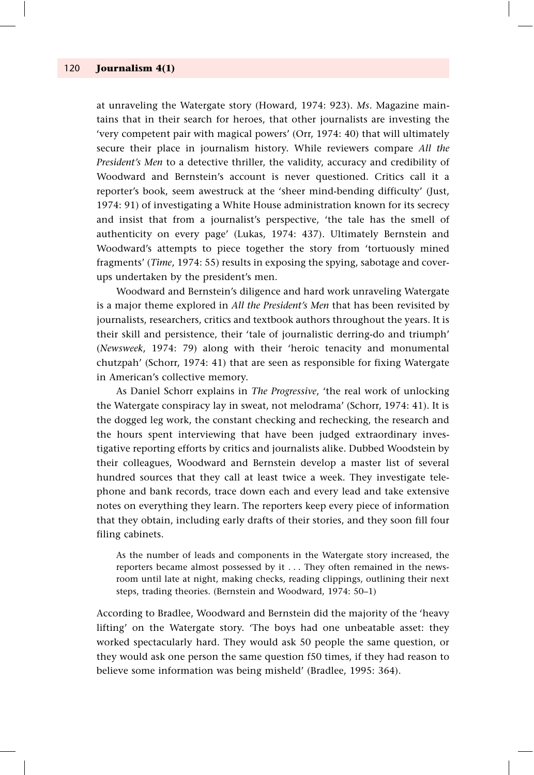at unraveling the Watergate story (Howard, 1974: 923). *Ms*. Magazine maintains that in their search for heroes, that other journalists are investing the 'very competent pair with magical powers' (Orr, 1974: 40) that will ultimately secure their place in journalism history. While reviewers compare *All the President's Men* to a detective thriller, the validity, accuracy and credibility of Woodward and Bernstein's account is never questioned. Critics call it a reporter's book, seem awestruck at the 'sheer mind-bending difficulty' (Just, 1974: 91) of investigating a White House administration known for its secrecy and insist that from a journalist's perspective, 'the tale has the smell of authenticity on every page' (Lukas, 1974: 437). Ultimately Bernstein and Woodward's attempts to piece together the story from 'tortuously mined fragments' (*Time*, 1974: 55) results in exposing the spying, sabotage and coverups undertaken by the president's men.

Woodward and Bernstein's diligence and hard work unraveling Watergate is a major theme explored in *All the President's Men* that has been revisited by journalists, researchers, critics and textbook authors throughout the years. It is their skill and persistence, their 'tale of journalistic derring-do and triumph' (*Newsweek*, 1974: 79) along with their 'heroic tenacity and monumental chutzpah' (Schorr, 1974: 41) that are seen as responsible for fixing Watergate in American's collective memory.

As Daniel Schorr explains in *The Progressive*, 'the real work of unlocking the Watergate conspiracy lay in sweat, not melodrama' (Schorr, 1974: 41). It is the dogged leg work, the constant checking and rechecking, the research and the hours spent interviewing that have been judged extraordinary investigative reporting efforts by critics and journalists alike. Dubbed Woodstein by their colleagues, Woodward and Bernstein develop a master list of several hundred sources that they call at least twice a week. They investigate telephone and bank records, trace down each and every lead and take extensive notes on everything they learn. The reporters keep every piece of information that they obtain, including early drafts of their stories, and they soon fill four filing cabinets.

As the number of leads and components in the Watergate story increased, the reporters became almost possessed by it . . . They often remained in the newsroom until late at night, making checks, reading clippings, outlining their next steps, trading theories. (Bernstein and Woodward, 1974: 50–1)

According to Bradlee, Woodward and Bernstein did the majority of the 'heavy lifting' on the Watergate story. 'The boys had one unbeatable asset: they worked spectacularly hard. They would ask 50 people the same question, or they would ask one person the same question f50 times, if they had reason to believe some information was being misheld' (Bradlee, 1995: 364).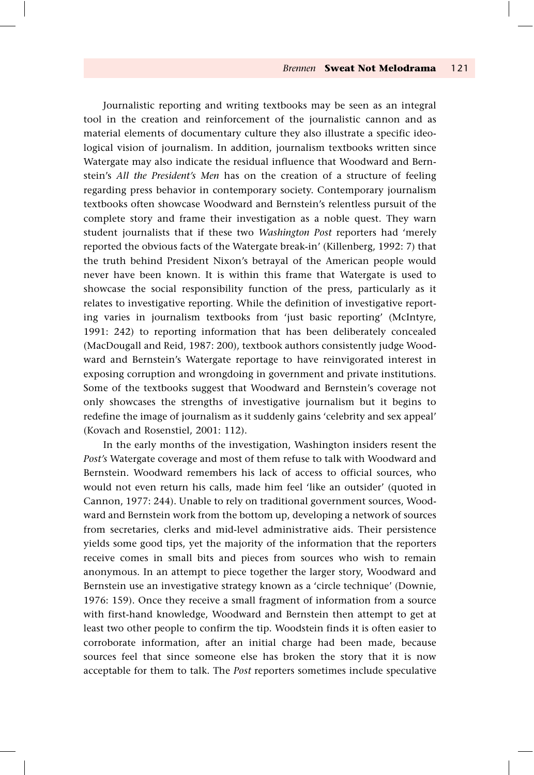Journalistic reporting and writing textbooks may be seen as an integral tool in the creation and reinforcement of the journalistic cannon and as material elements of documentary culture they also illustrate a specific ideological vision of journalism. In addition, journalism textbooks written since Watergate may also indicate the residual influence that Woodward and Bernstein's *All the President's Men* has on the creation of a structure of feeling regarding press behavior in contemporary society. Contemporary journalism textbooks often showcase Woodward and Bernstein's relentless pursuit of the complete story and frame their investigation as a noble quest. They warn student journalists that if these two *Washington Post* reporters had 'merely reported the obvious facts of the Watergate break-in' (Killenberg, 1992: 7) that the truth behind President Nixon's betrayal of the American people would never have been known. It is within this frame that Watergate is used to showcase the social responsibility function of the press, particularly as it relates to investigative reporting. While the definition of investigative reporting varies in journalism textbooks from 'just basic reporting' (McIntyre, 1991: 242) to reporting information that has been deliberately concealed (MacDougall and Reid, 1987: 200), textbook authors consistently judge Woodward and Bernstein's Watergate reportage to have reinvigorated interest in exposing corruption and wrongdoing in government and private institutions. Some of the textbooks suggest that Woodward and Bernstein's coverage not only showcases the strengths of investigative journalism but it begins to redefine the image of journalism as it suddenly gains 'celebrity and sex appeal' (Kovach and Rosenstiel, 2001: 112).

In the early months of the investigation, Washington insiders resent the *Post's* Watergate coverage and most of them refuse to talk with Woodward and Bernstein. Woodward remembers his lack of access to official sources, who would not even return his calls, made him feel 'like an outsider' (quoted in Cannon, 1977: 244). Unable to rely on traditional government sources, Woodward and Bernstein work from the bottom up, developing a network of sources from secretaries, clerks and mid-level administrative aids. Their persistence yields some good tips, yet the majority of the information that the reporters receive comes in small bits and pieces from sources who wish to remain anonymous. In an attempt to piece together the larger story, Woodward and Bernstein use an investigative strategy known as a 'circle technique' (Downie, 1976: 159). Once they receive a small fragment of information from a source with first-hand knowledge, Woodward and Bernstein then attempt to get at least two other people to confirm the tip. Woodstein finds it is often easier to corroborate information, after an initial charge had been made, because sources feel that since someone else has broken the story that it is now acceptable for them to talk. The *Post* reporters sometimes include speculative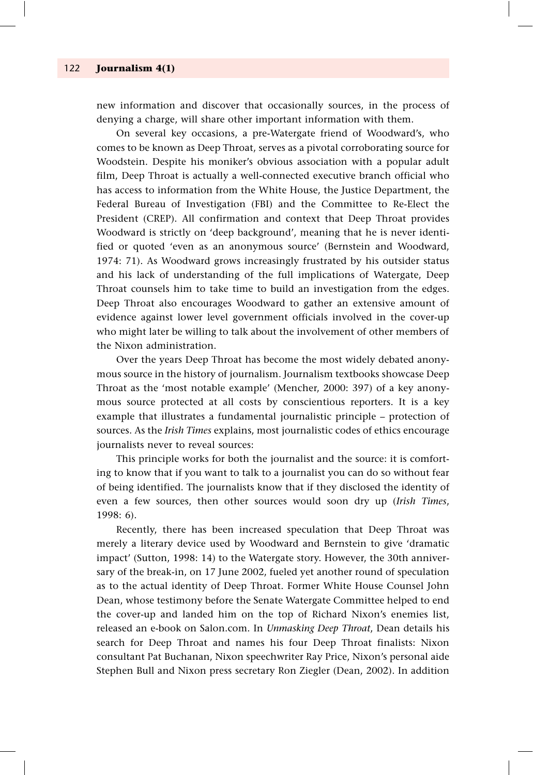new information and discover that occasionally sources, in the process of denying a charge, will share other important information with them.

On several key occasions, a pre-Watergate friend of Woodward's, who comes to be known as Deep Throat, serves as a pivotal corroborating source for Woodstein. Despite his moniker's obvious association with a popular adult film, Deep Throat is actually a well-connected executive branch official who has access to information from the White House, the Justice Department, the Federal Bureau of Investigation (FBI) and the Committee to Re-Elect the President (CREP). All confirmation and context that Deep Throat provides Woodward is strictly on 'deep background', meaning that he is never identified or quoted 'even as an anonymous source' (Bernstein and Woodward, 1974: 71). As Woodward grows increasingly frustrated by his outsider status and his lack of understanding of the full implications of Watergate, Deep Throat counsels him to take time to build an investigation from the edges. Deep Throat also encourages Woodward to gather an extensive amount of evidence against lower level government officials involved in the cover-up who might later be willing to talk about the involvement of other members of the Nixon administration.

Over the years Deep Throat has become the most widely debated anonymous source in the history of journalism. Journalism textbooks showcase Deep Throat as the 'most notable example' (Mencher, 2000: 397) of a key anonymous source protected at all costs by conscientious reporters. It is a key example that illustrates a fundamental journalistic principle – protection of sources. As the *Irish Times* explains, most journalistic codes of ethics encourage journalists never to reveal sources:

This principle works for both the journalist and the source: it is comforting to know that if you want to talk to a journalist you can do so without fear of being identified. The journalists know that if they disclosed the identity of even a few sources, then other sources would soon dry up (*Irish Times*, 1998: 6).

Recently, there has been increased speculation that Deep Throat was merely a literary device used by Woodward and Bernstein to give 'dramatic impact' (Sutton, 1998: 14) to the Watergate story. However, the 30th anniversary of the break-in, on 17 June 2002, fueled yet another round of speculation as to the actual identity of Deep Throat. Former White House Counsel John Dean, whose testimony before the Senate Watergate Committee helped to end the cover-up and landed him on the top of Richard Nixon's enemies list, released an e-book on Salon.com. In *Unmasking Deep Throat*, Dean details his search for Deep Throat and names his four Deep Throat finalists: Nixon consultant Pat Buchanan, Nixon speechwriter Ray Price, Nixon's personal aide Stephen Bull and Nixon press secretary Ron Ziegler (Dean, 2002). In addition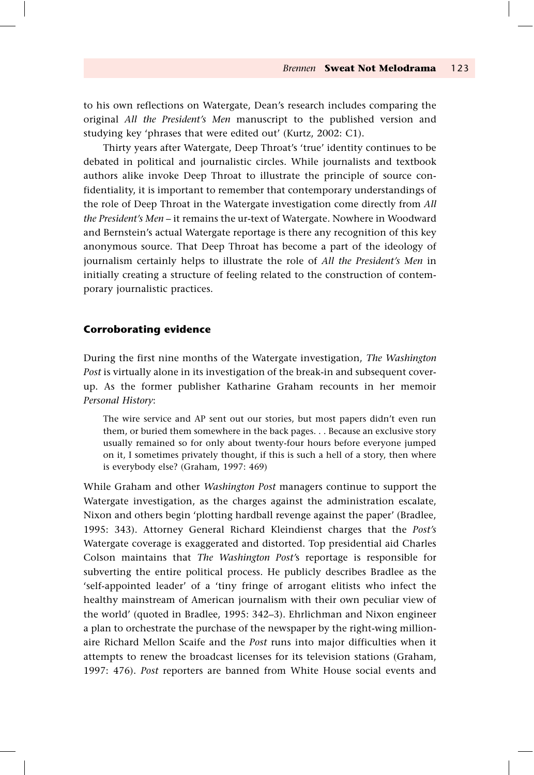to his own reflections on Watergate, Dean's research includes comparing the original *All the President's Men* manuscript to the published version and studying key 'phrases that were edited out' (Kurtz, 2002: C1).

Thirty years after Watergate, Deep Throat's 'true' identity continues to be debated in political and journalistic circles. While journalists and textbook authors alike invoke Deep Throat to illustrate the principle of source confidentiality, it is important to remember that contemporary understandings of the role of Deep Throat in the Watergate investigation come directly from *All the President's Men –* it remains the ur-text of Watergate. Nowhere in Woodward and Bernstein's actual Watergate reportage is there any recognition of this key anonymous source. That Deep Throat has become a part of the ideology of journalism certainly helps to illustrate the role of *All the President's Men* in initially creating a structure of feeling related to the construction of contemporary journalistic practices.

#### **Corroborating evidence**

During the first nine months of the Watergate investigation, *The Washington Post* is virtually alone in its investigation of the break-in and subsequent coverup. As the former publisher Katharine Graham recounts in her memoir *Personal History*:

The wire service and AP sent out our stories, but most papers didn't even run them, or buried them somewhere in the back pages. . . Because an exclusive story usually remained so for only about twenty-four hours before everyone jumped on it, I sometimes privately thought, if this is such a hell of a story, then where is everybody else? (Graham, 1997: 469)

While Graham and other *Washington Post* managers continue to support the Watergate investigation, as the charges against the administration escalate, Nixon and others begin 'plotting hardball revenge against the paper' (Bradlee, 1995: 343). Attorney General Richard Kleindienst charges that the *Post's* Watergate coverage is exaggerated and distorted. Top presidential aid Charles Colson maintains that *The Washington Post'*s reportage is responsible for subverting the entire political process. He publicly describes Bradlee as the 'self-appointed leader' of a 'tiny fringe of arrogant elitists who infect the healthy mainstream of American journalism with their own peculiar view of the world' (quoted in Bradlee, 1995: 342–3). Ehrlichman and Nixon engineer a plan to orchestrate the purchase of the newspaper by the right-wing millionaire Richard Mellon Scaife and the *Post* runs into major difficulties when it attempts to renew the broadcast licenses for its television stations (Graham, 1997: 476). *Post* reporters are banned from White House social events and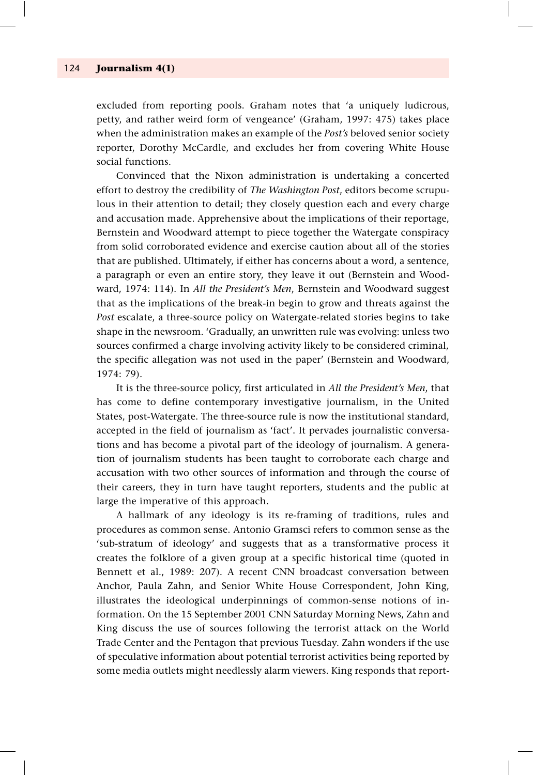excluded from reporting pools. Graham notes that 'a uniquely ludicrous, petty, and rather weird form of vengeance' (Graham, 1997: 475) takes place when the administration makes an example of the *Post's* beloved senior society reporter, Dorothy McCardle, and excludes her from covering White House social functions.

Convinced that the Nixon administration is undertaking a concerted effort to destroy the credibility of *The Washington Post*, editors become scrupulous in their attention to detail; they closely question each and every charge and accusation made. Apprehensive about the implications of their reportage, Bernstein and Woodward attempt to piece together the Watergate conspiracy from solid corroborated evidence and exercise caution about all of the stories that are published. Ultimately, if either has concerns about a word, a sentence, a paragraph or even an entire story, they leave it out (Bernstein and Woodward, 1974: 114). In *All the President's Men*, Bernstein and Woodward suggest that as the implications of the break-in begin to grow and threats against the *Post* escalate, a three-source policy on Watergate-related stories begins to take shape in the newsroom. 'Gradually, an unwritten rule was evolving: unless two sources confirmed a charge involving activity likely to be considered criminal, the specific allegation was not used in the paper' (Bernstein and Woodward, 1974: 79).

It is the three-source policy, first articulated in *All the President's Men*, that has come to define contemporary investigative journalism, in the United States, post-Watergate. The three-source rule is now the institutional standard, accepted in the field of journalism as 'fact'. It pervades journalistic conversations and has become a pivotal part of the ideology of journalism. A generation of journalism students has been taught to corroborate each charge and accusation with two other sources of information and through the course of their careers, they in turn have taught reporters, students and the public at large the imperative of this approach.

A hallmark of any ideology is its re-framing of traditions, rules and procedures as common sense. Antonio Gramsci refers to common sense as the 'sub-stratum of ideology' and suggests that as a transformative process it creates the folklore of a given group at a specific historical time (quoted in Bennett et al., 1989: 207). A recent CNN broadcast conversation between Anchor, Paula Zahn, and Senior White House Correspondent, John King, illustrates the ideological underpinnings of common-sense notions of information. On the 15 September 2001 CNN Saturday Morning News, Zahn and King discuss the use of sources following the terrorist attack on the World Trade Center and the Pentagon that previous Tuesday. Zahn wonders if the use of speculative information about potential terrorist activities being reported by some media outlets might needlessly alarm viewers. King responds that report-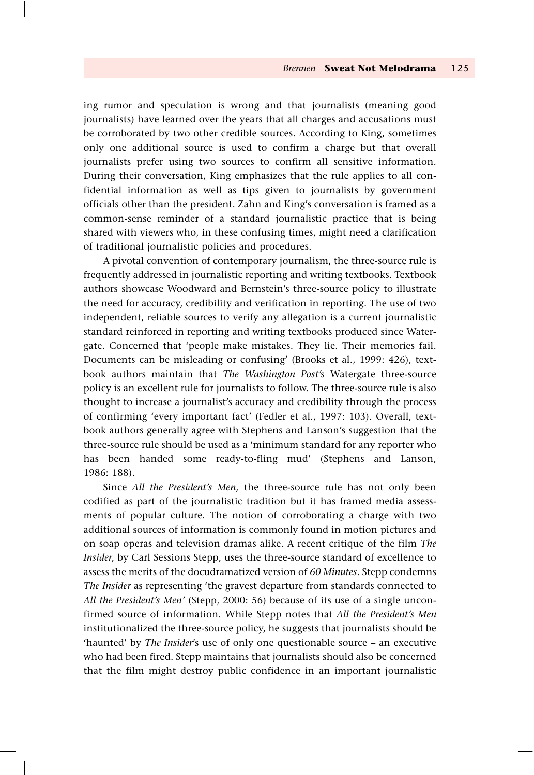ing rumor and speculation is wrong and that journalists (meaning good journalists) have learned over the years that all charges and accusations must be corroborated by two other credible sources. According to King, sometimes only one additional source is used to confirm a charge but that overall journalists prefer using two sources to confirm all sensitive information. During their conversation, King emphasizes that the rule applies to all confidential information as well as tips given to journalists by government officials other than the president. Zahn and King's conversation is framed as a common-sense reminder of a standard journalistic practice that is being shared with viewers who, in these confusing times, might need a clarification of traditional journalistic policies and procedures.

A pivotal convention of contemporary journalism, the three-source rule is frequently addressed in journalistic reporting and writing textbooks. Textbook authors showcase Woodward and Bernstein's three-source policy to illustrate the need for accuracy, credibility and verification in reporting. The use of two independent, reliable sources to verify any allegation is a current journalistic standard reinforced in reporting and writing textbooks produced since Watergate. Concerned that 'people make mistakes. They lie. Their memories fail. Documents can be misleading or confusing' (Brooks et al., 1999: 426), textbook authors maintain that *The Washington Post'*s Watergate three-source policy is an excellent rule for journalists to follow. The three-source rule is also thought to increase a journalist's accuracy and credibility through the process of confirming 'every important fact' (Fedler et al., 1997: 103). Overall, textbook authors generally agree with Stephens and Lanson's suggestion that the three-source rule should be used as a 'minimum standard for any reporter who has been handed some ready-to-fling mud' (Stephens and Lanson, 1986: 188).

Since *All the President's Men*, the three-source rule has not only been codified as part of the journalistic tradition but it has framed media assessments of popular culture. The notion of corroborating a charge with two additional sources of information is commonly found in motion pictures and on soap operas and television dramas alike. A recent critique of the film *The Insider*, by Carl Sessions Stepp, uses the three-source standard of excellence to assess the merits of the docudramatized version of *60 Minutes*. Stepp condemns *The Insider* as representing 'the gravest departure from standards connected to *All the President's Men'* (Stepp, 2000: 56) because of its use of a single unconfirmed source of information. While Stepp notes that *All the President's Men* institutionalized the three-source policy, he suggests that journalists should be 'haunted' by *The Insider*'s use of only one questionable source – an executive who had been fired. Stepp maintains that journalists should also be concerned that the film might destroy public confidence in an important journalistic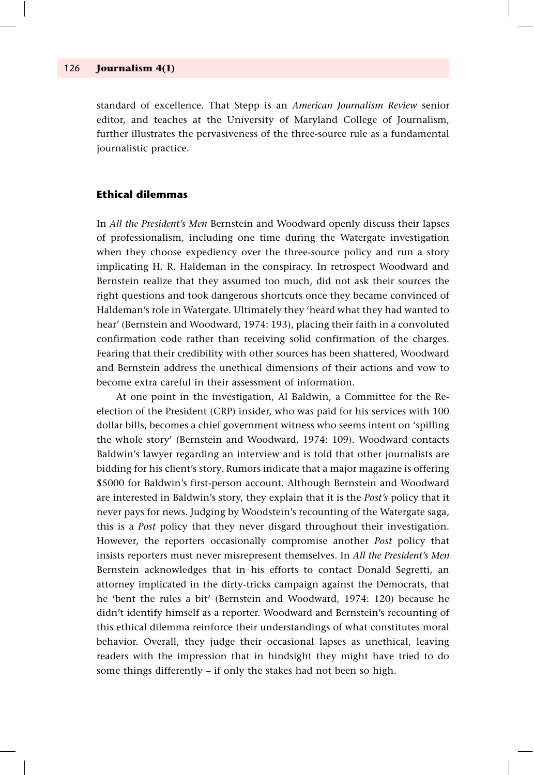standard of excellence. That Stepp is an *American Journalism Review* senior editor, and teaches at the University of Maryland College of Journalism, further illustrates the pervasiveness of the three-source rule as a fundamental journalistic practice.

# **Ethical dilemmas**

In *All the President's Men* Bernstein and Woodward openly discuss their lapses of professionalism, including one time during the Watergate investigation when they choose expediency over the three-source policy and run a story implicating H. R. Haldeman in the conspiracy. In retrospect Woodward and Bernstein realize that they assumed too much, did not ask their sources the right questions and took dangerous shortcuts once they became convinced of Haldeman's role in Watergate. Ultimately they 'heard what they had wanted to hear' (Bernstein and Woodward, 1974: 193), placing their faith in a convoluted confirmation code rather than receiving solid confirmation of the charges. Fearing that their credibility with other sources has been shattered, Woodward and Bernstein address the unethical dimensions of their actions and vow to become extra careful in their assessment of information.

At one point in the investigation, Al Baldwin, a Committee for the Reelection of the President (CRP) insider, who was paid for his services with 100 dollar bills, becomes a chief government witness who seems intent on 'spilling the whole story' (Bernstein and Woodward, 1974: 109). Woodward contacts Baldwin's lawyer regarding an interview and is told that other journalists are bidding for his client's story. Rumors indicate that a major magazine is offering \$5000 for Baldwin's first-person account. Although Bernstein and Woodward are interested in Baldwin's story, they explain that it is the *Post's* policy that it never pays for news. Judging by Woodstein's recounting of the Watergate saga*,* this is a *Post* policy that they never disgard throughout their investigation. However, the reporters occasionally compromise another *Post* policy that insists reporters must never misrepresent themselves. In *All the President's Men* Bernstein acknowledges that in his efforts to contact Donald Segretti, an attorney implicated in the dirty-tricks campaign against the Democrats, that he 'bent the rules a bit' (Bernstein and Woodward, 1974: 120) because he didn't identify himself as a reporter. Woodward and Bernstein's recounting of this ethical dilemma reinforce their understandings of what constitutes moral behavior. Overall, they judge their occasional lapses as unethical, leaving readers with the impression that in hindsight they might have tried to do some things differently – if only the stakes had not been so high.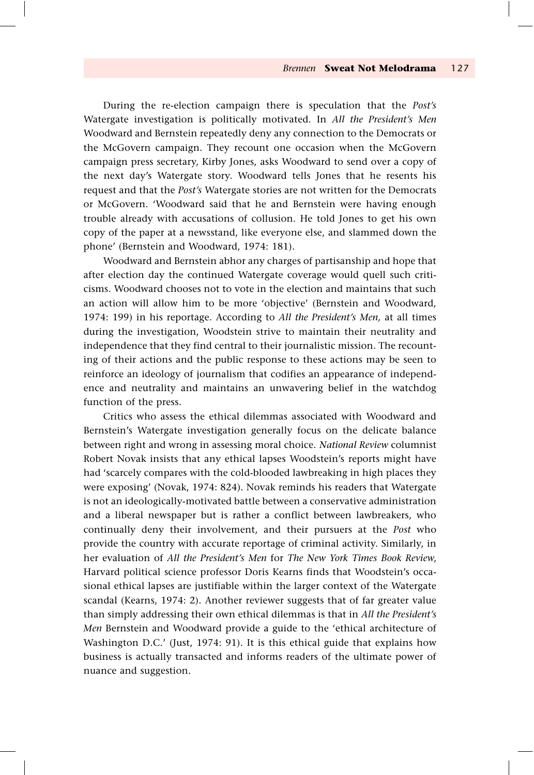During the re-election campaign there is speculation that the *Post's* Watergate investigation is politically motivated. In *All the President's Men* Woodward and Bernstein repeatedly deny any connection to the Democrats or the McGovern campaign. They recount one occasion when the McGovern campaign press secretary, Kirby Jones, asks Woodward to send over a copy of the next day's Watergate story. Woodward tells Jones that he resents his request and that the *Post's* Watergate stories are not written for the Democrats or McGovern. 'Woodward said that he and Bernstein were having enough trouble already with accusations of collusion. He told Jones to get his own copy of the paper at a newsstand, like everyone else, and slammed down the phone' (Bernstein and Woodward, 1974: 181).

Woodward and Bernstein abhor any charges of partisanship and hope that after election day the continued Watergate coverage would quell such criticisms. Woodward chooses not to vote in the election and maintains that such an action will allow him to be more 'objective' (Bernstein and Woodward, 1974: 199) in his reportage. According to *All the President's Men,* at all times during the investigation, Woodstein strive to maintain their neutrality and independence that they find central to their journalistic mission. The recounting of their actions and the public response to these actions may be seen to reinforce an ideology of journalism that codifies an appearance of independence and neutrality and maintains an unwavering belief in the watchdog function of the press.

Critics who assess the ethical dilemmas associated with Woodward and Bernstein's Watergate investigation generally focus on the delicate balance between right and wrong in assessing moral choice. *National Review* columnist Robert Novak insists that any ethical lapses Woodstein's reports might have had 'scarcely compares with the cold-blooded lawbreaking in high places they were exposing' (Novak, 1974: 824). Novak reminds his readers that Watergate is not an ideologically-motivated battle between a conservative administration and a liberal newspaper but is rather a conflict between lawbreakers, who continually deny their involvement, and their pursuers at the *Post* who provide the country with accurate reportage of criminal activity. Similarly, in her evaluation of *All the President's Men* for *The New York Times Book Review*, Harvard political science professor Doris Kearns finds that Woodstein's occasional ethical lapses are justifiable within the larger context of the Watergate scandal (Kearns, 1974: 2). Another reviewer suggests that of far greater value than simply addressing their own ethical dilemmas is that in *All the President's Men* Bernstein and Woodward provide a guide to the 'ethical architecture of Washington D.C.' (Just, 1974: 91). It is this ethical guide that explains how business is actually transacted and informs readers of the ultimate power of nuance and suggestion.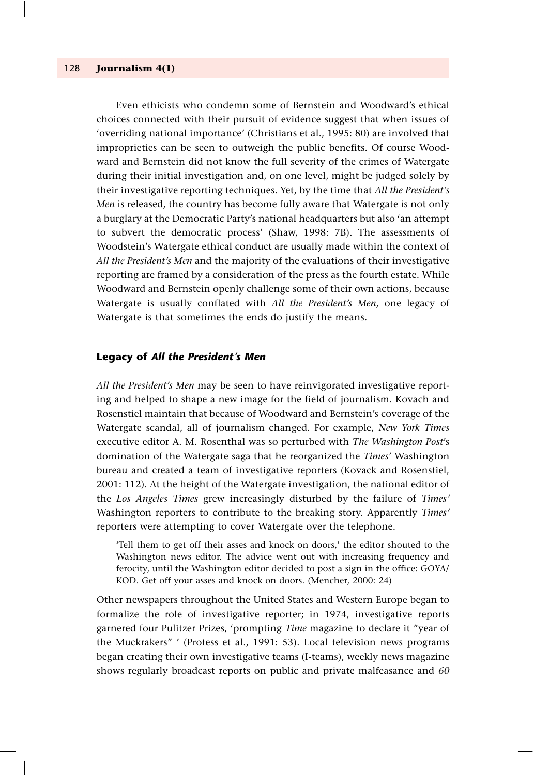Even ethicists who condemn some of Bernstein and Woodward's ethical choices connected with their pursuit of evidence suggest that when issues of 'overriding national importance' (Christians et al., 1995: 80) are involved that improprieties can be seen to outweigh the public benefits. Of course Woodward and Bernstein did not know the full severity of the crimes of Watergate during their initial investigation and, on one level, might be judged solely by their investigative reporting techniques. Yet, by the time that *All the President's Men* is released, the country has become fully aware that Watergate is not only a burglary at the Democratic Party's national headquarters but also 'an attempt to subvert the democratic process' (Shaw, 1998: 7B). The assessments of Woodstein's Watergate ethical conduct are usually made within the context of *All the President's Men* and the majority of the evaluations of their investigative reporting are framed by a consideration of the press as the fourth estate. While Woodward and Bernstein openly challenge some of their own actions, because Watergate is usually conflated with *All the President's Men*, one legacy of Watergate is that sometimes the ends do justify the means.

# **Legacy of** *All the President's Men*

*All the President's Men* may be seen to have reinvigorated investigative reporting and helped to shape a new image for the field of journalism. Kovach and Rosenstiel maintain that because of Woodward and Bernstein's coverage of the Watergate scandal, all of journalism changed. For example, *New York Times* executive editor A. M. Rosenthal was so perturbed with *The Washington Post*'s domination of the Watergate saga that he reorganized the *Times*' Washington bureau and created a team of investigative reporters (Kovack and Rosenstiel, 2001: 112). At the height of the Watergate investigation, the national editor of the *Los Angeles Times* grew increasingly disturbed by the failure of *Times'* Washington reporters to contribute to the breaking story. Apparently *Times'* reporters were attempting to cover Watergate over the telephone.

'Tell them to get off their asses and knock on doors,' the editor shouted to the Washington news editor. The advice went out with increasing frequency and ferocity, until the Washington editor decided to post a sign in the office: GOYA/ KOD. Get off your asses and knock on doors. (Mencher, 2000: 24)

Other newspapers throughout the United States and Western Europe began to formalize the role of investigative reporter; in 1974, investigative reports garnered four Pulitzer Prizes, 'prompting *Time* magazine to declare it "year of the Muckrakers" ' (Protess et al., 1991: 53). Local television news programs began creating their own investigative teams (I-teams), weekly news magazine shows regularly broadcast reports on public and private malfeasance and *60*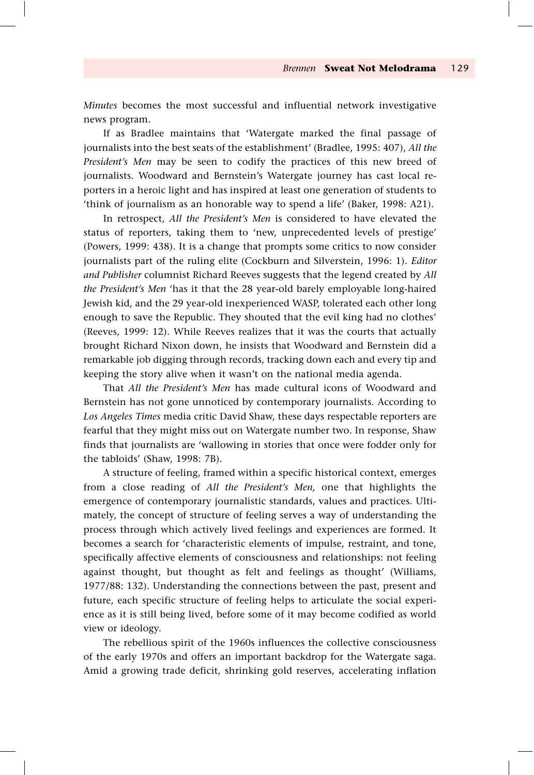*Minutes* becomes the most successful and influential network investigative news program.

If as Bradlee maintains that 'Watergate marked the final passage of journalists into the best seats of the establishment' (Bradlee, 1995: 407), *All the President's Men* may be seen to codify the practices of this new breed of journalists. Woodward and Bernstein's Watergate journey has cast local reporters in a heroic light and has inspired at least one generation of students to 'think of journalism as an honorable way to spend a life' (Baker, 1998: A21).

In retrospect, *All the President's Men* is considered to have elevated the status of reporters, taking them to 'new, unprecedented levels of prestige' (Powers, 1999: 438). It is a change that prompts some critics to now consider journalists part of the ruling elite (Cockburn and Silverstein, 1996: 1). *Editor and Publisher* columnist Richard Reeves suggests that the legend created by *All the President's Men* 'has it that the 28 year-old barely employable long-haired Jewish kid, and the 29 year-old inexperienced WASP, tolerated each other long enough to save the Republic. They shouted that the evil king had no clothes' (Reeves, 1999: 12). While Reeves realizes that it was the courts that actually brought Richard Nixon down, he insists that Woodward and Bernstein did a remarkable job digging through records, tracking down each and every tip and keeping the story alive when it wasn't on the national media agenda.

That *All the President's Men* has made cultural icons of Woodward and Bernstein has not gone unnoticed by contemporary journalists. According to *Los Angeles Times* media critic David Shaw, these days respectable reporters are fearful that they might miss out on Watergate number two. In response, Shaw finds that journalists are 'wallowing in stories that once were fodder only for the tabloids' (Shaw, 1998: 7B).

A structure of feeling, framed within a specific historical context, emerges from a close reading of *All the President's Men,* one that highlights the emergence of contemporary journalistic standards, values and practices. Ultimately, the concept of structure of feeling serves a way of understanding the process through which actively lived feelings and experiences are formed. It becomes a search for 'characteristic elements of impulse, restraint, and tone, specifically affective elements of consciousness and relationships: not feeling against thought, but thought as felt and feelings as thought' (Williams, 1977/88: 132). Understanding the connections between the past, present and future, each specific structure of feeling helps to articulate the social experience as it is still being lived, before some of it may become codified as world view or ideology.

The rebellious spirit of the 1960s influences the collective consciousness of the early 1970s and offers an important backdrop for the Watergate saga. Amid a growing trade deficit, shrinking gold reserves, accelerating inflation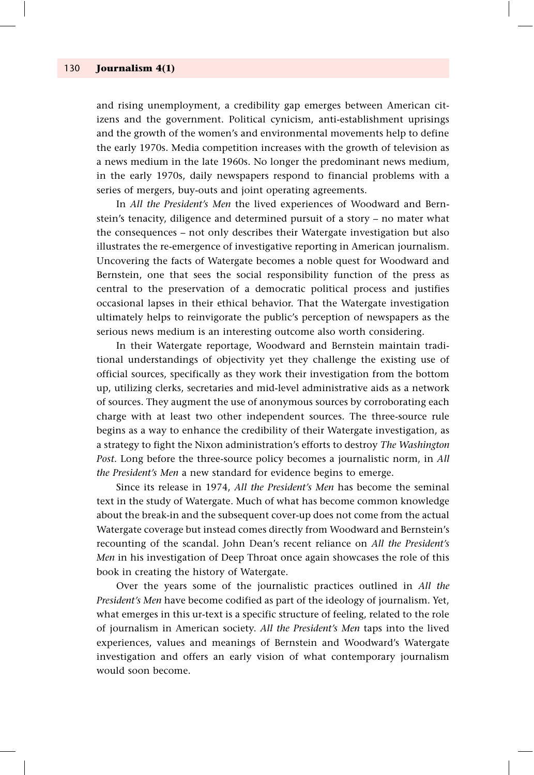and rising unemployment, a credibility gap emerges between American citizens and the government. Political cynicism, anti-establishment uprisings and the growth of the women's and environmental movements help to define the early 1970s. Media competition increases with the growth of television as a news medium in the late 1960s. No longer the predominant news medium, in the early 1970s, daily newspapers respond to financial problems with a series of mergers, buy-outs and joint operating agreements.

In *All the President's Men* the lived experiences of Woodward and Bernstein's tenacity, diligence and determined pursuit of a story – no mater what the consequences – not only describes their Watergate investigation but also illustrates the re-emergence of investigative reporting in American journalism. Uncovering the facts of Watergate becomes a noble quest for Woodward and Bernstein, one that sees the social responsibility function of the press as central to the preservation of a democratic political process and justifies occasional lapses in their ethical behavior. That the Watergate investigation ultimately helps to reinvigorate the public's perception of newspapers as the serious news medium is an interesting outcome also worth considering.

In their Watergate reportage, Woodward and Bernstein maintain traditional understandings of objectivity yet they challenge the existing use of official sources, specifically as they work their investigation from the bottom up, utilizing clerks, secretaries and mid-level administrative aids as a network of sources. They augment the use of anonymous sources by corroborating each charge with at least two other independent sources. The three-source rule begins as a way to enhance the credibility of their Watergate investigation, as a strategy to fight the Nixon administration's efforts to destroy *The Washington Post*. Long before the three-source policy becomes a journalistic norm, in *All the President's Men* a new standard for evidence begins to emerge.

Since its release in 1974, *All the President's Men* has become the seminal text in the study of Watergate. Much of what has become common knowledge about the break-in and the subsequent cover-up does not come from the actual Watergate coverage but instead comes directly from Woodward and Bernstein's recounting of the scandal*.* John Dean's recent reliance on *All the President's Men* in his investigation of Deep Throat once again showcases the role of this book in creating the history of Watergate.

Over the years some of the journalistic practices outlined in *All the President's Men* have become codified as part of the ideology of journalism. Yet, what emerges in this ur-text is a specific structure of feeling, related to the role of journalism in American society. *All the President's Men* taps into the lived experiences, values and meanings of Bernstein and Woodward's Watergate investigation and offers an early vision of what contemporary journalism would soon become.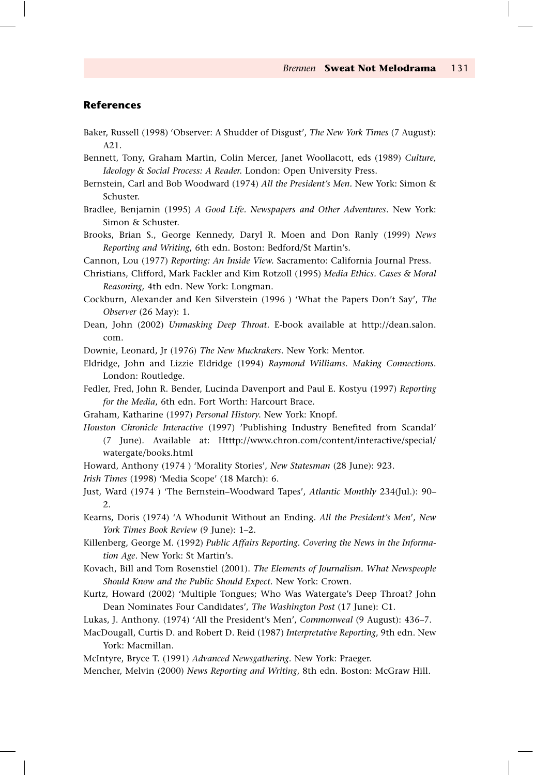# **References**

Baker, Russell (1998) 'Observer: A Shudder of Disgust', *The New York Times* (7 August): A21.

Bennett, Tony, Graham Martin, Colin Mercer, Janet Woollacott, eds (1989) *Culture, Ideology & Social Process: A Reader*. London: Open University Press.

- Bernstein, Carl and Bob Woodward (1974) *All the President's Men.* New York: Simon & Schuster.
- Bradlee, Benjamin (1995) *A Good Life. Newspapers and Other Adventures*. New York: Simon & Schuster.
- Brooks, Brian S., George Kennedy, Daryl R. Moen and Don Ranly (1999) *News Reporting and Writing*, 6th edn. Boston: Bedford/St Martin's.
- Cannon, Lou (1977) *Reporting: An Inside View.* Sacramento: California Journal Press.
- Christians, Clifford, Mark Fackler and Kim Rotzoll (1995) *Media Ethics. Cases & Moral Reasoning,* 4th edn*.* New York: Longman.
- Cockburn, Alexander and Ken Silverstein (1996 ) 'What the Papers Don't Say', *The Observer* (26 May): 1.
- Dean, John (2002) *Unmasking Deep Throat*. E-book available at http://dean.salon. com.

Downie, Leonard, Jr (1976) *The New Muckrakers*. New York: Mentor.

- Eldridge, John and Lizzie Eldridge (1994) *Raymond Williams. Making Connections*. London: Routledge.
- Fedler, Fred, John R. Bender, Lucinda Davenport and Paul E. Kostyu (1997) *Reporting for the Media*, 6th edn. Fort Worth: Harcourt Brace.

Graham, Katharine (1997) *Personal History*. New York: Knopf.

Howard, Anthony (1974 ) 'Morality Stories', *New Statesman* (28 June): 923.

*Irish Times* (1998) 'Media Scope' (18 March): 6.

Just, Ward (1974 ) 'The Bernstein–Woodward Tapes', *Atlantic Monthly* 234(Jul.): 90– 2.

Kearns, Doris (1974) 'A Whodunit Without an Ending. *All the President's Men*', *New York Times Book Review* (9 June): 1–2.

- Killenberg, George M. (1992) *Public Affairs Reporting. Covering the News in the Information Age*. New York: St Martin's.
- Kovach, Bill and Tom Rosenstiel (2001). *The Elements of Journalism. What Newspeople Should Know and the Public Should Expect*. New York: Crown.
- Kurtz, Howard (2002) 'Multiple Tongues; Who Was Watergate's Deep Throat? John Dean Nominates Four Candidates', *The Washington Post* (17 June): C1.

Lukas, J. Anthony. (1974) 'All the President's Men', *Commonweal* (9 August): 436–7.

MacDougall, Curtis D. and Robert D. Reid (1987) *Interpretative Reporting*, 9th edn. New York: Macmillan.

McIntyre, Bryce T. (1991) *Advanced Newsgathering*. New York: Praeger.

Mencher, Melvin (2000) *News Reporting and Writing*, 8th edn. Boston: McGraw Hill.

*Houston Chronicle Interactive* (1997) 'Publishing Industry Benefited from Scandal' (7 June). Available at: Htttp://www.chron.com/content/interactive/special/ watergate/books.html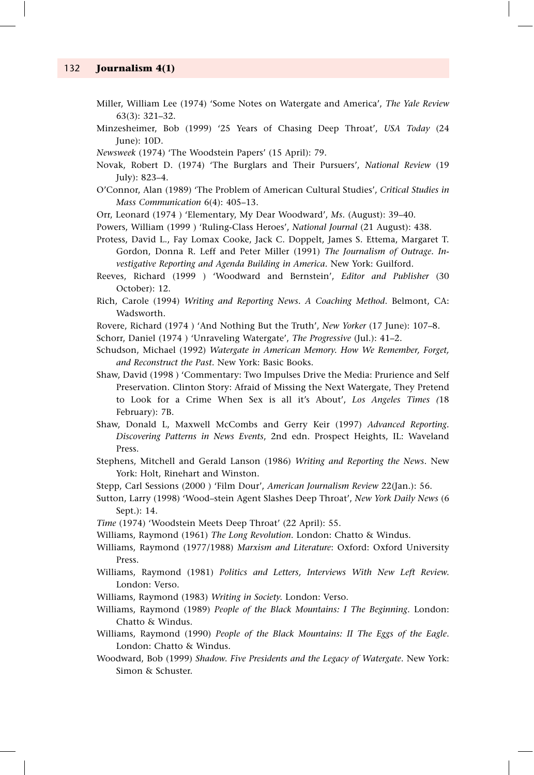- Miller, William Lee (1974) 'Some Notes on Watergate and America', *The Yale Review* 63(3): 321–32.
- Minzesheimer, Bob (1999) '25 Years of Chasing Deep Throat', *USA Today* (24 June): 10D.
- *Newsweek* (1974) 'The Woodstein Papers' (15 April): 79.
- Novak, Robert D. (1974) 'The Burglars and Their Pursuers', *National Review* (19 July): 823–4.
- O'Connor, Alan (1989) 'The Problem of American Cultural Studies', *Critical Studies in Mass Communication* 6(4): 405–13.
- Orr, Leonard (1974 ) 'Elementary, My Dear Woodward', *Ms.* (August): 39–40.
- Powers, William (1999 ) 'Ruling-Class Heroes', *National Journal* (21 August): 438.
- Protess, David L., Fay Lomax Cooke, Jack C. Doppelt, James S. Ettema, Margaret T. Gordon, Donna R. Leff and Peter Miller (1991) *The Journalism of Outrage. Investigative Reporting and Agenda Building in America.* New York: Guilford.
- Reeves, Richard (1999 ) 'Woodward and Bernstein', *Editor and Publisher* (30 October): 12.
- Rich, Carole (1994) *Writing and Reporting News. A Coaching Method*. Belmont, CA: Wadsworth.

Rovere, Richard (1974 ) 'And Nothing But the Truth', *New Yorker* (17 June): 107–8.

- Schorr, Daniel (1974 ) 'Unraveling Watergate', *The Progressive* (Jul.): 41–2.
- Schudson, Michael (1992) *Watergate in American Memory. How We Remember, Forget, and Reconstruct the Past*. New York: Basic Books.
- Shaw, David (1998 ) 'Commentary: Two Impulses Drive the Media: Prurience and Self Preservation. Clinton Story: Afraid of Missing the Next Watergate, They Pretend to Look for a Crime When Sex is all it's About', *Los Angeles Times (*18 February): 7B.
- Shaw, Donald L, Maxwell McCombs and Gerry Keir (1997) *Advanced Reporting. Discovering Patterns in News Events*, 2nd edn. Prospect Heights, IL: Waveland Press.
- Stephens, Mitchell and Gerald Lanson (1986) *Writing and Reporting the News*. New York: Holt, Rinehart and Winston.
- Stepp, Carl Sessions (2000 ) 'Film Dour', *American Journalism Review* 22(Jan.): 56.
- Sutton, Larry (1998) 'Wood–stein Agent Slashes Deep Throat', *New York Daily News* (6 Sept.): 14.
- *Time* (1974) 'Woodstein Meets Deep Throat' (22 April): 55.
- Williams, Raymond (1961) *The Long Revolution*. London: Chatto & Windus.
- Williams, Raymond (1977/1988) *Marxism and Literature*: Oxford: Oxford University Press.
- Williams, Raymond (1981) *Politics and Letters, Interviews With New Left Review*. London: Verso.
- Williams, Raymond (1983) *Writing in Society*. London: Verso.
- Williams, Raymond (1989) *People of the Black Mountains: I The Beginning*. London: Chatto & Windus.
- Williams, Raymond (1990) *People of the Black Mountains: II The Eggs of the Eagle*. London: Chatto & Windus.
- Woodward, Bob (1999) *Shadow*. *Five Presidents and the Legacy of Watergate*. New York: Simon & Schuster.